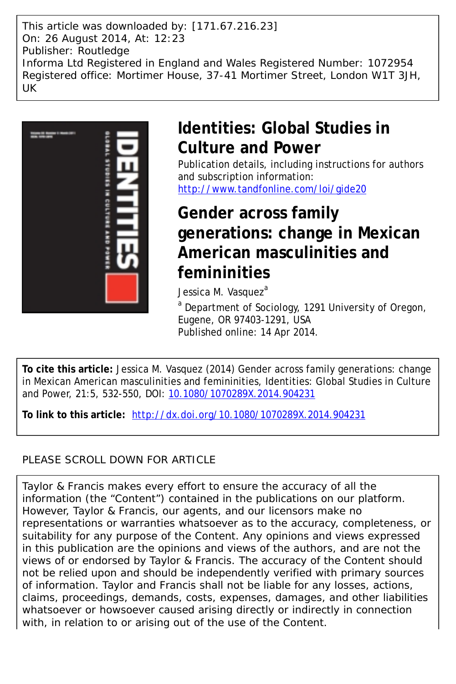This article was downloaded by: [171.67.216.23] On: 26 August 2014, At: 12:23 Publisher: Routledge Informa Ltd Registered in England and Wales Registered Number: 1072954 Registered office: Mortimer House, 37-41 Mortimer Street, London W1T 3JH, UK



# **Identities: Global Studies in Culture and Power**

Publication details, including instructions for authors and subscription information: <http://www.tandfonline.com/loi/gide20>

## **Gender across family generations: change in Mexican American masculinities and femininities**

Jessica M. Vasquez<sup>a</sup>

<sup>a</sup> Department of Sociology, 1291 University of Oregon, Eugene, OR 97403-1291, USA Published online: 14 Apr 2014.

**To cite this article:** Jessica M. Vasquez (2014) Gender across family generations: change in Mexican American masculinities and femininities, Identities: Global Studies in Culture and Power, 21:5, 532-550, DOI: [10.1080/1070289X.2014.904231](http://www.tandfonline.com/action/showCitFormats?doi=10.1080/1070289X.2014.904231)

**To link to this article:** <http://dx.doi.org/10.1080/1070289X.2014.904231>

### PLEASE SCROLL DOWN FOR ARTICLE

Taylor & Francis makes every effort to ensure the accuracy of all the information (the "Content") contained in the publications on our platform. However, Taylor & Francis, our agents, and our licensors make no representations or warranties whatsoever as to the accuracy, completeness, or suitability for any purpose of the Content. Any opinions and views expressed in this publication are the opinions and views of the authors, and are not the views of or endorsed by Taylor & Francis. The accuracy of the Content should not be relied upon and should be independently verified with primary sources of information. Taylor and Francis shall not be liable for any losses, actions, claims, proceedings, demands, costs, expenses, damages, and other liabilities whatsoever or howsoever caused arising directly or indirectly in connection with, in relation to or arising out of the use of the Content.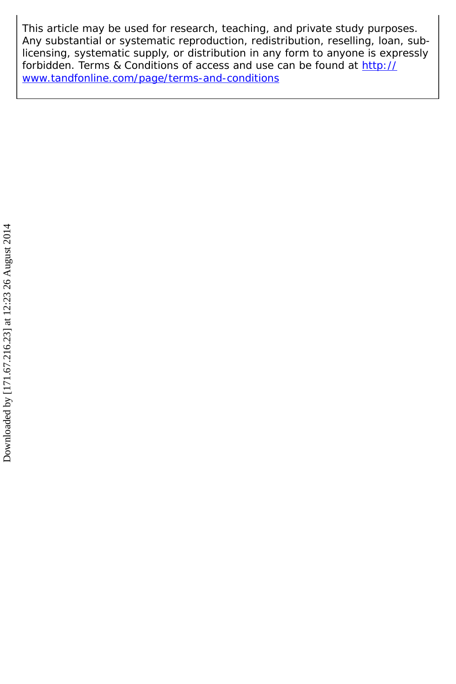This article may be used for research, teaching, and private study purposes. Any substantial or systematic reproduction, redistribution, reselling, loan, sublicensing, systematic supply, or distribution in any form to anyone is expressly forbidden. Terms & Conditions of access and use can be found at [http://](http://www.tandfonline.com/page/terms-and-conditions) [www.tandfonline.com/page/terms-and-conditions](http://www.tandfonline.com/page/terms-and-conditions)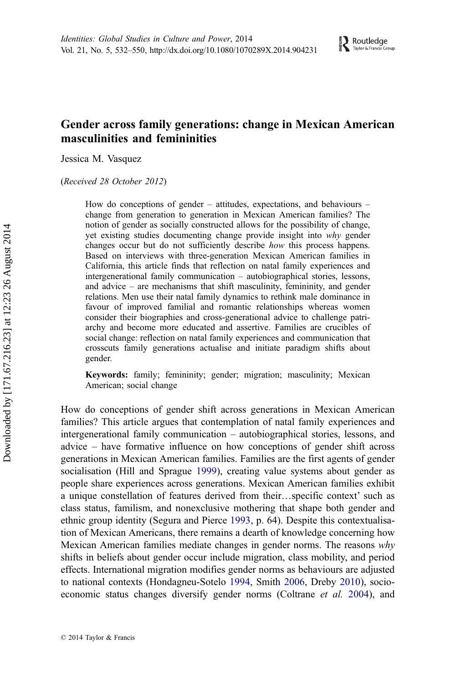### Gender across family generations: change in Mexican American masculinities and femininities

Jessica M. Vasquez

(Received 28 October 2012)

How do conceptions of gender – attitudes, expectations, and behaviours – change from generation to generation in Mexican American families? The notion of gender as socially constructed allows for the possibility of change, yet existing studies documenting change provide insight into why gender changes occur but do not sufficiently describe how this process happens. Based on interviews with three-generation Mexican American families in California, this article finds that reflection on natal family experiences and intergenerational family communication – autobiographical stories, lessons, and advice – are mechanisms that shift masculinity, femininity, and gender relations. Men use their natal family dynamics to rethink male dominance in favour of improved familial and romantic relationships whereas women consider their biographies and cross-generational advice to challenge patriarchy and become more educated and assertive. Families are crucibles of social change: reflection on natal family experiences and communication that crosscuts family generations actualise and initiate paradigm shifts about gender.

Keywords: family; femininity; gender; migration; masculinity; Mexican American; social change

How do conceptions of gender shift across generations in Mexican American families? This article argues that contemplation of natal family experiences and intergenerational family communication – autobiographical stories, lessons, and advice – have formative influence on how conceptions of gender shift across generations in Mexican American families. Families are the first agents of gender socialisation (Hill and Sprague [1999](#page-18-0)), creating value systems about gender as people share experiences across generations. Mexican American families exhibit a unique constellation of features derived from their…specific context' such as class status, familism, and nonexclusive mothering that shape both gender and ethnic group identity (Segura and Pierce [1993](#page-19-0), p. 64). Despite this contextualisation of Mexican Americans, there remains a dearth of knowledge concerning how Mexican American families mediate changes in gender norms. The reasons  $whv$ shifts in beliefs about gender occur include migration, class mobility, and period effects. International migration modifies gender norms as behaviours are adjusted to national contexts (Hondagneu-Sotelo [1994,](#page-19-0) Smith [2006,](#page-19-0) Dreby [2010\)](#page-18-0), socioeconomic status changes diversify gender norms (Coltrane et al. [2004](#page-18-0)), and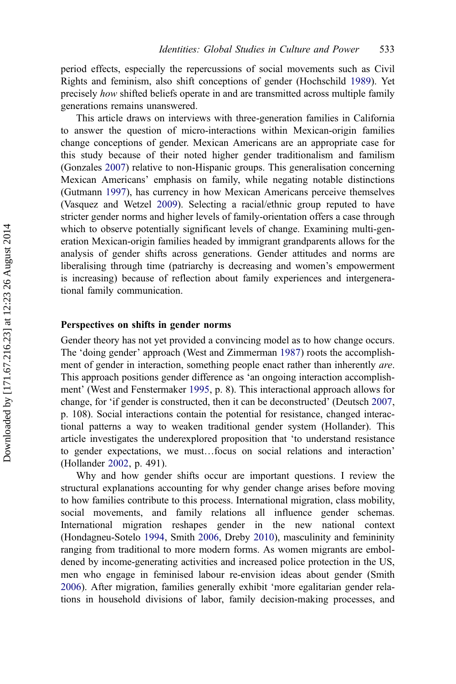period effects, especially the repercussions of social movements such as Civil Rights and feminism, also shift conceptions of gender (Hochschild [1989](#page-19-0)). Yet precisely how shifted beliefs operate in and are transmitted across multiple family generations remains unanswered.

This article draws on interviews with three-generation families in California to answer the question of micro-interactions within Mexican-origin families change conceptions of gender. Mexican Americans are an appropriate case for this study because of their noted higher gender traditionalism and familism (Gonzales [2007](#page-18-0)) relative to non-Hispanic groups. This generalisation concerning Mexican Americans' emphasis on family, while negating notable distinctions (Gutmann [1997\)](#page-18-0), has currency in how Mexican Americans perceive themselves (Vasquez and Wetzel [2009](#page-20-0)). Selecting a racial/ethnic group reputed to have stricter gender norms and higher levels of family-orientation offers a case through which to observe potentially significant levels of change. Examining multi-generation Mexican-origin families headed by immigrant grandparents allows for the analysis of gender shifts across generations. Gender attitudes and norms are liberalising through time (patriarchy is decreasing and women's empowerment is increasing) because of reflection about family experiences and intergenerational family communication.

#### Perspectives on shifts in gender norms

Gender theory has not yet provided a convincing model as to how change occurs. The 'doing gender' approach (West and Zimmerman [1987\)](#page-20-0) roots the accomplishment of gender in interaction, something people enact rather than inherently *are*. This approach positions gender difference as 'an ongoing interaction accomplishment' (West and Fenstermaker [1995](#page-20-0), p. 8). This interactional approach allows for change, for 'if gender is constructed, then it can be deconstructed' (Deutsch [2007,](#page-18-0) p. 108). Social interactions contain the potential for resistance, changed interactional patterns a way to weaken traditional gender system (Hollander). This article investigates the underexplored proposition that 'to understand resistance to gender expectations, we must…focus on social relations and interaction' (Hollander [2002,](#page-19-0) p. 491).

Why and how gender shifts occur are important questions. I review the structural explanations accounting for why gender change arises before moving to how families contribute to this process. International migration, class mobility, social movements, and family relations all influence gender schemas. International migration reshapes gender in the new national context (Hondagneu-Sotelo [1994,](#page-19-0) Smith [2006](#page-19-0), Dreby [2010](#page-18-0)), masculinity and femininity ranging from traditional to more modern forms. As women migrants are emboldened by income-generating activities and increased police protection in the US, men who engage in feminised labour re-envision ideas about gender (Smith [2006\)](#page-19-0). After migration, families generally exhibit 'more egalitarian gender relations in household divisions of labor, family decision-making processes, and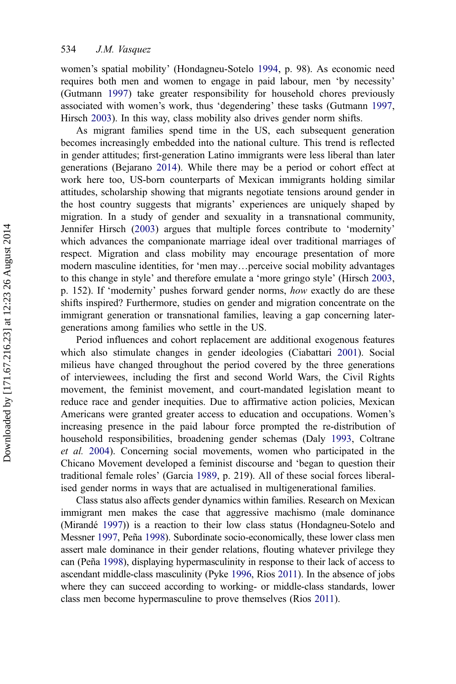women's spatial mobility' (Hondagneu-Sotelo [1994](#page-19-0), p. 98). As economic need requires both men and women to engage in paid labour, men 'by necessity' (Gutmann [1997](#page-18-0)) take greater responsibility for household chores previously associated with women's work, thus 'degendering' these tasks (Gutmann [1997,](#page-18-0) Hirsch [2003\)](#page-19-0). In this way, class mobility also drives gender norm shifts.

As migrant families spend time in the US, each subsequent generation becomes increasingly embedded into the national culture. This trend is reflected in gender attitudes; first-generation Latino immigrants were less liberal than later generations (Bejarano [2014\)](#page-17-0). While there may be a period or cohort effect at work here too, US-born counterparts of Mexican immigrants holding similar attitudes, scholarship showing that migrants negotiate tensions around gender in the host country suggests that migrants' experiences are uniquely shaped by migration. In a study of gender and sexuality in a transnational community, Jennifer Hirsch ([2003\)](#page-19-0) argues that multiple forces contribute to 'modernity' which advances the companionate marriage ideal over traditional marriages of respect. Migration and class mobility may encourage presentation of more modern masculine identities, for 'men may…perceive social mobility advantages to this change in style' and therefore emulate a 'more gringo style' (Hirsch [2003,](#page-19-0) p. 152). If 'modernity' pushes forward gender norms, how exactly do are these shifts inspired? Furthermore, studies on gender and migration concentrate on the immigrant generation or transnational families, leaving a gap concerning latergenerations among families who settle in the US.

Period influences and cohort replacement are additional exogenous features which also stimulate changes in gender ideologies (Ciabattari [2001](#page-18-0)). Social milieus have changed throughout the period covered by the three generations of interviewees, including the first and second World Wars, the Civil Rights movement, the feminist movement, and court-mandated legislation meant to reduce race and gender inequities. Due to affirmative action policies, Mexican Americans were granted greater access to education and occupations. Women's increasing presence in the paid labour force prompted the re-distribution of household responsibilities, broadening gender schemas (Daly [1993](#page-18-0), Coltrane et al. [2004](#page-18-0)). Concerning social movements, women who participated in the Chicano Movement developed a feminist discourse and 'began to question their traditional female roles' (Garcia [1989,](#page-18-0) p. 219). All of these social forces liberalised gender norms in ways that are actualised in multigenerational families.

Class status also affects gender dynamics within families. Research on Mexican immigrant men makes the case that aggressive machismo (male dominance (Mirandé [1997](#page-19-0))) is a reaction to their low class status (Hondagneu-Sotelo and Messner [1997,](#page-19-0) Peña [1998](#page-19-0)). Subordinate socio-economically, these lower class men assert male dominance in their gender relations, flouting whatever privilege they can (Peña [1998\)](#page-19-0), displaying hypermasculinity in response to their lack of access to ascendant middle-class masculinity (Pyke [1996,](#page-19-0) Rios [2011](#page-19-0)). In the absence of jobs where they can succeed according to working- or middle-class standards, lower class men become hypermasculine to prove themselves (Rios [2011\)](#page-19-0).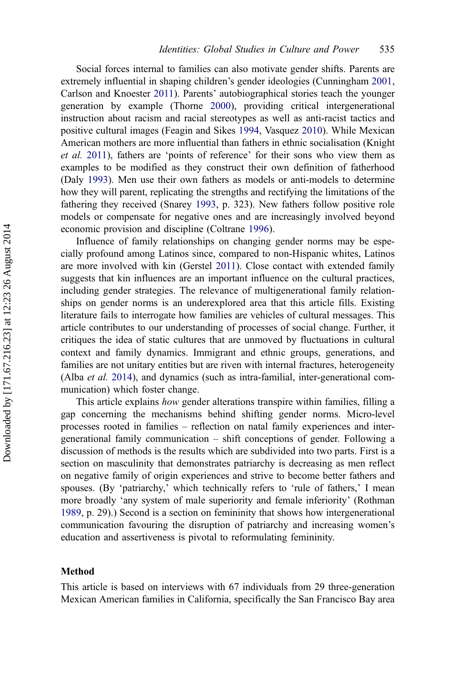Social forces internal to families can also motivate gender shifts. Parents are extremely influential in shaping children's gender ideologies (Cunningham [2001,](#page-18-0) Carlson and Knoester [2011\)](#page-18-0). Parents' autobiographical stories teach the younger generation by example (Thorne [2000](#page-19-0)), providing critical intergenerational instruction about racism and racial stereotypes as well as anti-racist tactics and positive cultural images (Feagin and Sikes [1994,](#page-18-0) Vasquez [2010\)](#page-20-0). While Mexican American mothers are more influential than fathers in ethnic socialisation (Knight et al. [2011\)](#page-19-0), fathers are 'points of reference' for their sons who view them as examples to be modified as they construct their own definition of fatherhood (Daly [1993](#page-18-0)). Men use their own fathers as models or anti-models to determine how they will parent, replicating the strengths and rectifying the limitations of the fathering they received (Snarey [1993,](#page-19-0) p. 323). New fathers follow positive role models or compensate for negative ones and are increasingly involved beyond economic provision and discipline (Coltrane [1996](#page-18-0)).

Influence of family relationships on changing gender norms may be especially profound among Latinos since, compared to non-Hispanic whites, Latinos are more involved with kin (Gerstel [2011](#page-18-0)). Close contact with extended family suggests that kin influences are an important influence on the cultural practices, including gender strategies. The relevance of multigenerational family relationships on gender norms is an underexplored area that this article fills. Existing literature fails to interrogate how families are vehicles of cultural messages. This article contributes to our understanding of processes of social change. Further, it critiques the idea of static cultures that are unmoved by fluctuations in cultural context and family dynamics. Immigrant and ethnic groups, generations, and families are not unitary entities but are riven with internal fractures, heterogeneity (Alba et al. [2014](#page-17-0)), and dynamics (such as intra-familial, inter-generational communication) which foster change.

This article explains how gender alterations transpire within families, filling a gap concerning the mechanisms behind shifting gender norms. Micro-level processes rooted in families – reflection on natal family experiences and intergenerational family communication – shift conceptions of gender. Following a discussion of methods is the results which are subdivided into two parts. First is a section on masculinity that demonstrates patriarchy is decreasing as men reflect on negative family of origin experiences and strive to become better fathers and spouses. (By 'patriarchy,' which technically refers to 'rule of fathers,' I mean more broadly 'any system of male superiority and female inferiority' (Rothman [1989,](#page-19-0) p. 29).) Second is a section on femininity that shows how intergenerational communication favouring the disruption of patriarchy and increasing women's education and assertiveness is pivotal to reformulating femininity.

#### Method

This article is based on interviews with 67 individuals from 29 three-generation Mexican American families in California, specifically the San Francisco Bay area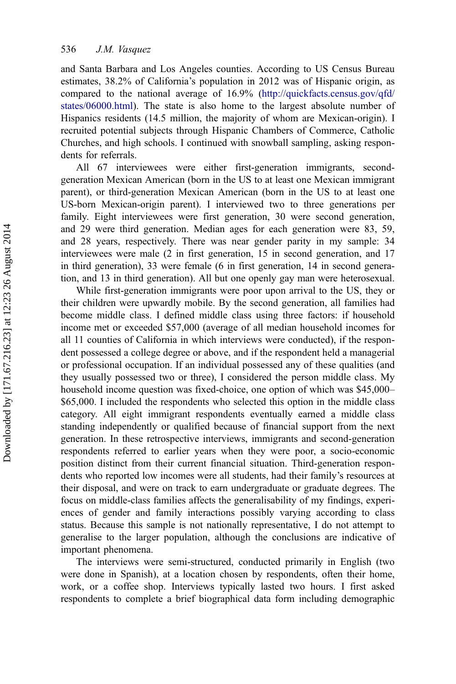and Santa Barbara and Los Angeles counties. According to US Census Bureau estimates, 38.2% of California's population in 2012 was of Hispanic origin, as compared to the national average of 16.9% [\(http://quickfacts.census.gov/qfd/](http://quickfacts.census.gov/qfd/states/06000.html) [states/06000.html](http://quickfacts.census.gov/qfd/states/06000.html)). The state is also home to the largest absolute number of Hispanics residents (14.5 million, the majority of whom are Mexican-origin). I recruited potential subjects through Hispanic Chambers of Commerce, Catholic Churches, and high schools. I continued with snowball sampling, asking respondents for referrals.

All 67 interviewees were either first-generation immigrants, secondgeneration Mexican American (born in the US to at least one Mexican immigrant parent), or third-generation Mexican American (born in the US to at least one US-born Mexican-origin parent). I interviewed two to three generations per family. Eight interviewees were first generation, 30 were second generation, and 29 were third generation. Median ages for each generation were 83, 59, and 28 years, respectively. There was near gender parity in my sample: 34 interviewees were male (2 in first generation, 15 in second generation, and 17 in third generation), 33 were female (6 in first generation, 14 in second generation, and 13 in third generation). All but one openly gay man were heterosexual.

While first-generation immigrants were poor upon arrival to the US, they or their children were upwardly mobile. By the second generation, all families had become middle class. I defined middle class using three factors: if household income met or exceeded \$57,000 (average of all median household incomes for all 11 counties of California in which interviews were conducted), if the respondent possessed a college degree or above, and if the respondent held a managerial or professional occupation. If an individual possessed any of these qualities (and they usually possessed two or three), I considered the person middle class. My household income question was fixed-choice, one option of which was \$45,000– \$65,000. I included the respondents who selected this option in the middle class category. All eight immigrant respondents eventually earned a middle class standing independently or qualified because of financial support from the next generation. In these retrospective interviews, immigrants and second-generation respondents referred to earlier years when they were poor, a socio-economic position distinct from their current financial situation. Third-generation respondents who reported low incomes were all students, had their family's resources at their disposal, and were on track to earn undergraduate or graduate degrees. The focus on middle-class families affects the generalisability of my findings, experiences of gender and family interactions possibly varying according to class status. Because this sample is not nationally representative, I do not attempt to generalise to the larger population, although the conclusions are indicative of important phenomena.

The interviews were semi-structured, conducted primarily in English (two were done in Spanish), at a location chosen by respondents, often their home, work, or a coffee shop. Interviews typically lasted two hours. I first asked respondents to complete a brief biographical data form including demographic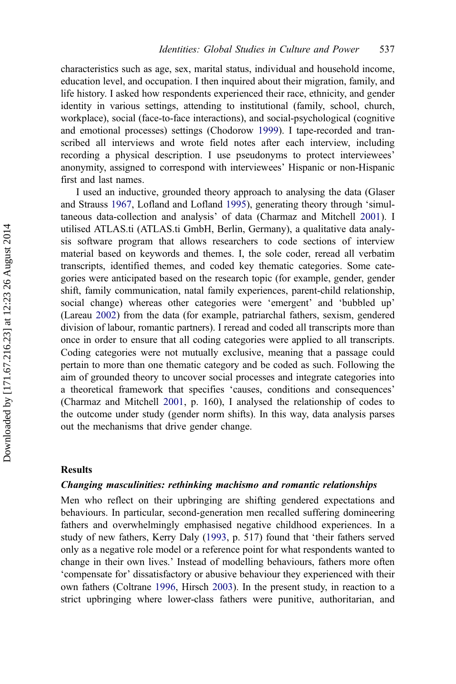characteristics such as age, sex, marital status, individual and household income, education level, and occupation. I then inquired about their migration, family, and life history. I asked how respondents experienced their race, ethnicity, and gender identity in various settings, attending to institutional (family, school, church, workplace), social (face-to-face interactions), and social-psychological (cognitive and emotional processes) settings (Chodorow [1999](#page-18-0)). I tape-recorded and transcribed all interviews and wrote field notes after each interview, including recording a physical description. I use pseudonyms to protect interviewees' anonymity, assigned to correspond with interviewees' Hispanic or non-Hispanic first and last names.

I used an inductive, grounded theory approach to analysing the data (Glaser and Strauss [1967,](#page-18-0) Lofland and Lofland [1995](#page-19-0)), generating theory through 'simultaneous data-collection and analysis' of data (Charmaz and Mitchell [2001\)](#page-18-0). I utilised ATLAS.ti (ATLAS.ti GmbH, Berlin, Germany), a qualitative data analysis software program that allows researchers to code sections of interview material based on keywords and themes. I, the sole coder, reread all verbatim transcripts, identified themes, and coded key thematic categories. Some categories were anticipated based on the research topic (for example, gender, gender shift, family communication, natal family experiences, parent-child relationship, social change) whereas other categories were 'emergent' and 'bubbled up' (Lareau [2002\)](#page-19-0) from the data (for example, patriarchal fathers, sexism, gendered division of labour, romantic partners). I reread and coded all transcripts more than once in order to ensure that all coding categories were applied to all transcripts. Coding categories were not mutually exclusive, meaning that a passage could pertain to more than one thematic category and be coded as such. Following the aim of grounded theory to uncover social processes and integrate categories into a theoretical framework that specifies 'causes, conditions and consequences' (Charmaz and Mitchell [2001,](#page-18-0) p. 160), I analysed the relationship of codes to the outcome under study (gender norm shifts). In this way, data analysis parses out the mechanisms that drive gender change.

#### Results

#### Changing masculinities: rethinking machismo and romantic relationships

Men who reflect on their upbringing are shifting gendered expectations and behaviours. In particular, second-generation men recalled suffering domineering fathers and overwhelmingly emphasised negative childhood experiences. In a study of new fathers, Kerry Daly ([1993,](#page-18-0) p. 517) found that 'their fathers served only as a negative role model or a reference point for what respondents wanted to change in their own lives.' Instead of modelling behaviours, fathers more often 'compensate for' dissatisfactory or abusive behaviour they experienced with their own fathers (Coltrane [1996](#page-18-0), Hirsch [2003](#page-19-0)). In the present study, in reaction to a strict upbringing where lower-class fathers were punitive, authoritarian, and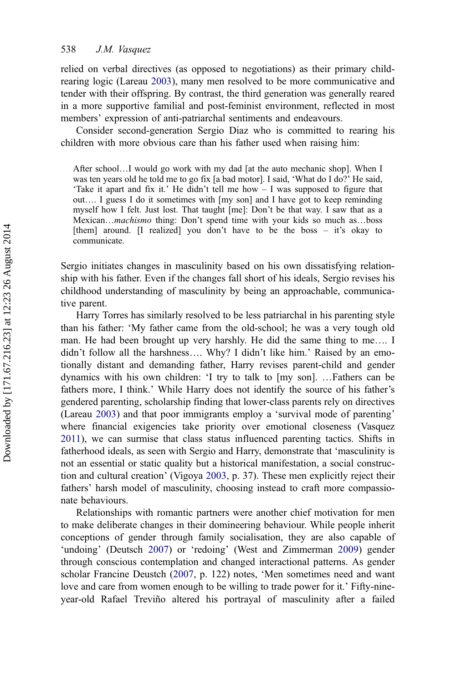relied on verbal directives (as opposed to negotiations) as their primary childrearing logic (Lareau [2003\)](#page-19-0), many men resolved to be more communicative and tender with their offspring. By contrast, the third generation was generally reared in a more supportive familial and post-feminist environment, reflected in most members' expression of anti-patriarchal sentiments and endeavours.

Consider second-generation Sergio Diaz who is committed to rearing his children with more obvious care than his father used when raising him:

After school…I would go work with my dad [at the auto mechanic shop]. When I was ten years old he told me to go fix [a bad motor]. I said, 'What do I do?' He said, 'Take it apart and fix it.' He didn't tell me how – I was supposed to figure that out…. I guess I do it sometimes with [my son] and I have got to keep reminding myself how I felt. Just lost. That taught [me]: Don't be that way. I saw that as a Mexican…machismo thing: Don't spend time with your kids so much as…boss [them] around. [I realized] you don't have to be the boss – it's okay to communicate.

Sergio initiates changes in masculinity based on his own dissatisfying relationship with his father. Even if the changes fall short of his ideals, Sergio revises his childhood understanding of masculinity by being an approachable, communicative parent.

Harry Torres has similarly resolved to be less patriarchal in his parenting style than his father: 'My father came from the old-school; he was a very tough old man. He had been brought up very harshly. He did the same thing to me…. I didn't follow all the harshness…. Why? I didn't like him.' Raised by an emotionally distant and demanding father, Harry revises parent-child and gender dynamics with his own children: 'I try to talk to [my son]. …Fathers can be fathers more, I think.' While Harry does not identify the source of his father's gendered parenting, scholarship finding that lower-class parents rely on directives (Lareau [2003](#page-19-0)) and that poor immigrants employ a 'survival mode of parenting' where financial exigencies take priority over emotional closeness (Vasquez [2011\)](#page-20-0), we can surmise that class status influenced parenting tactics. Shifts in fatherhood ideals, as seen with Sergio and Harry, demonstrate that 'masculinity is not an essential or static quality but a historical manifestation, a social construction and cultural creation' (Vigoya [2003,](#page-20-0) p. 37). These men explicitly reject their fathers' harsh model of masculinity, choosing instead to craft more compassionate behaviours.

Relationships with romantic partners were another chief motivation for men to make deliberate changes in their domineering behaviour. While people inherit conceptions of gender through family socialisation, they are also capable of 'undoing' (Deutsch [2007\)](#page-18-0) or 'redoing' (West and Zimmerman [2009](#page-20-0)) gender through conscious contemplation and changed interactional patterns. As gender scholar Francine Deustch [\(2007](#page-18-0), p. 122) notes, 'Men sometimes need and want love and care from women enough to be willing to trade power for it.' Fifty-nineyear-old Rafael Treviño altered his portrayal of masculinity after a failed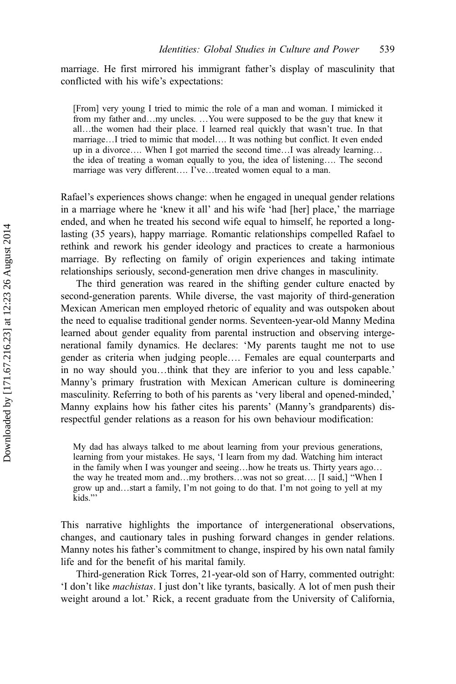marriage. He first mirrored his immigrant father's display of masculinity that conflicted with his wife's expectations:

[From] very young I tried to mimic the role of a man and woman. I mimicked it from my father and…my uncles. …You were supposed to be the guy that knew it all…the women had their place. I learned real quickly that wasn't true. In that marriage…I tried to mimic that model…. It was nothing but conflict. It even ended up in a divorce…. When I got married the second time…I was already learning… the idea of treating a woman equally to you, the idea of listening…. The second marriage was very different…. I've…treated women equal to a man.

Rafael's experiences shows change: when he engaged in unequal gender relations in a marriage where he 'knew it all' and his wife 'had [her] place,' the marriage ended, and when he treated his second wife equal to himself, he reported a longlasting (35 years), happy marriage. Romantic relationships compelled Rafael to rethink and rework his gender ideology and practices to create a harmonious marriage. By reflecting on family of origin experiences and taking intimate relationships seriously, second-generation men drive changes in masculinity.

The third generation was reared in the shifting gender culture enacted by second-generation parents. While diverse, the vast majority of third-generation Mexican American men employed rhetoric of equality and was outspoken about the need to equalise traditional gender norms. Seventeen-year-old Manny Medina learned about gender equality from parental instruction and observing intergenerational family dynamics. He declares: 'My parents taught me not to use gender as criteria when judging people…. Females are equal counterparts and in no way should you…think that they are inferior to you and less capable.' Manny's primary frustration with Mexican American culture is domineering masculinity. Referring to both of his parents as 'very liberal and opened-minded,' Manny explains how his father cites his parents' (Manny's grandparents) disrespectful gender relations as a reason for his own behaviour modification:

My dad has always talked to me about learning from your previous generations, learning from your mistakes. He says, 'I learn from my dad. Watching him interact in the family when I was younger and seeing…how he treats us. Thirty years ago… the way he treated mom and…my brothers…was not so great…. [I said,] "When I grow up and…start a family, I'm not going to do that. I'm not going to yell at my kids."'

This narrative highlights the importance of intergenerational observations, changes, and cautionary tales in pushing forward changes in gender relations. Manny notes his father's commitment to change, inspired by his own natal family life and for the benefit of his marital family.

Third-generation Rick Torres, 21-year-old son of Harry, commented outright: 'I don't like machistas. I just don't like tyrants, basically. A lot of men push their weight around a lot.' Rick, a recent graduate from the University of California,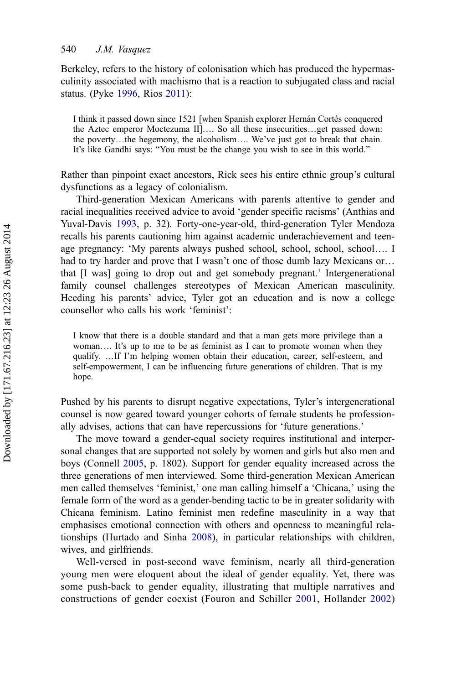Berkeley, refers to the history of colonisation which has produced the hypermasculinity associated with machismo that is a reaction to subjugated class and racial status. (Pyke [1996,](#page-19-0) Rios [2011](#page-19-0)):

I think it passed down since 1521 [when Spanish explorer Hernán Cortés conquered the Aztec emperor Moctezuma II]…. So all these insecurities…get passed down: the poverty…the hegemony, the alcoholism…. We've just got to break that chain. It's like Gandhi says: "You must be the change you wish to see in this world."

Rather than pinpoint exact ancestors, Rick sees his entire ethnic group's cultural dysfunctions as a legacy of colonialism.

Third-generation Mexican Americans with parents attentive to gender and racial inequalities received advice to avoid 'gender specific racisms' (Anthias and Yuval-Davis [1993,](#page-17-0) p. 32). Forty-one-year-old, third-generation Tyler Mendoza recalls his parents cautioning him against academic underachievement and teenage pregnancy: 'My parents always pushed school, school, school, school…. I had to try harder and prove that I wasn't one of those dumb lazy Mexicans or… that [I was] going to drop out and get somebody pregnant.' Intergenerational family counsel challenges stereotypes of Mexican American masculinity. Heeding his parents' advice, Tyler got an education and is now a college counsellor who calls his work 'feminist':

I know that there is a double standard and that a man gets more privilege than a woman…. It's up to me to be as feminist as I can to promote women when they qualify. …If I'm helping women obtain their education, career, self-esteem, and self-empowerment, I can be influencing future generations of children. That is my hope.

Pushed by his parents to disrupt negative expectations, Tyler's intergenerational counsel is now geared toward younger cohorts of female students he professionally advises, actions that can have repercussions for 'future generations.'

The move toward a gender-equal society requires institutional and interpersonal changes that are supported not solely by women and girls but also men and boys (Connell [2005,](#page-18-0) p. 1802). Support for gender equality increased across the three generations of men interviewed. Some third-generation Mexican American men called themselves 'feminist,' one man calling himself a 'Chicana,' using the female form of the word as a gender-bending tactic to be in greater solidarity with Chicana feminism. Latino feminist men redefine masculinity in a way that emphasises emotional connection with others and openness to meaningful relationships (Hurtado and Sinha [2008\)](#page-19-0), in particular relationships with children, wives, and girlfriends.

Well-versed in post-second wave feminism, nearly all third-generation young men were eloquent about the ideal of gender equality. Yet, there was some push-back to gender equality, illustrating that multiple narratives and constructions of gender coexist (Fouron and Schiller [2001,](#page-18-0) Hollander [2002\)](#page-19-0)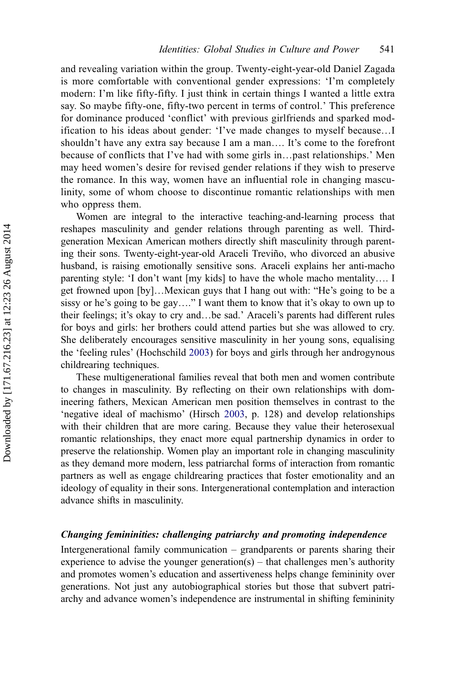and revealing variation within the group. Twenty-eight-year-old Daniel Zagada is more comfortable with conventional gender expressions: 'I'm completely modern: I'm like fifty-fifty. I just think in certain things I wanted a little extra say. So maybe fifty-one, fifty-two percent in terms of control.' This preference for dominance produced 'conflict' with previous girlfriends and sparked modification to his ideas about gender: 'I've made changes to myself because…I shouldn't have any extra say because I am a man…. It's come to the forefront because of conflicts that I've had with some girls in…past relationships.' Men may heed women's desire for revised gender relations if they wish to preserve the romance. In this way, women have an influential role in changing masculinity, some of whom choose to discontinue romantic relationships with men who oppress them.

Women are integral to the interactive teaching-and-learning process that reshapes masculinity and gender relations through parenting as well. Thirdgeneration Mexican American mothers directly shift masculinity through parenting their sons. Twenty-eight-year-old Araceli Treviño, who divorced an abusive husband, is raising emotionally sensitive sons. Araceli explains her anti-macho parenting style: 'I don't want [my kids] to have the whole macho mentality…. I get frowned upon [by]…Mexican guys that I hang out with: "He's going to be a sissy or he's going to be gay…." I want them to know that it's okay to own up to their feelings; it's okay to cry and…be sad.' Araceli's parents had different rules for boys and girls: her brothers could attend parties but she was allowed to cry. She deliberately encourages sensitive masculinity in her young sons, equalising the 'feeling rules' (Hochschild [2003](#page-19-0)) for boys and girls through her androgynous childrearing techniques.

These multigenerational families reveal that both men and women contribute to changes in masculinity. By reflecting on their own relationships with domineering fathers, Mexican American men position themselves in contrast to the 'negative ideal of machismo' (Hirsch [2003,](#page-19-0) p. 128) and develop relationships with their children that are more caring. Because they value their heterosexual romantic relationships, they enact more equal partnership dynamics in order to preserve the relationship. Women play an important role in changing masculinity as they demand more modern, less patriarchal forms of interaction from romantic partners as well as engage childrearing practices that foster emotionality and an ideology of equality in their sons. Intergenerational contemplation and interaction advance shifts in masculinity.

#### Changing femininities: challenging patriarchy and promoting independence

Intergenerational family communication – grandparents or parents sharing their experience to advise the younger generation(s) – that challenges men's authority and promotes women's education and assertiveness helps change femininity over generations. Not just any autobiographical stories but those that subvert patriarchy and advance women's independence are instrumental in shifting femininity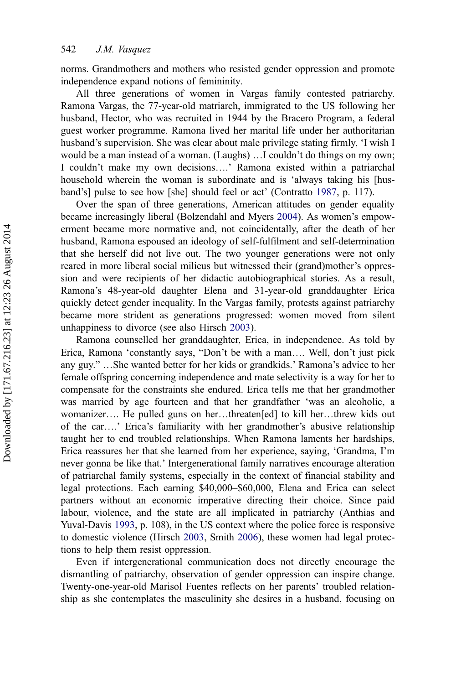norms. Grandmothers and mothers who resisted gender oppression and promote independence expand notions of femininity.

All three generations of women in Vargas family contested patriarchy. Ramona Vargas, the 77-year-old matriarch, immigrated to the US following her husband, Hector, who was recruited in 1944 by the Bracero Program, a federal guest worker programme. Ramona lived her marital life under her authoritarian husband's supervision. She was clear about male privilege stating firmly, 'I wish I would be a man instead of a woman. (Laughs) …I couldn't do things on my own; I couldn't make my own decisions….' Ramona existed within a patriarchal household wherein the woman is subordinate and is 'always taking his [husband's] pulse to see how [she] should feel or act' (Contratto [1987,](#page-18-0) p. 117).

Over the span of three generations, American attitudes on gender equality became increasingly liberal (Bolzendahl and Myers [2004\)](#page-18-0). As women's empowerment became more normative and, not coincidentally, after the death of her husband, Ramona espoused an ideology of self-fulfilment and self-determination that she herself did not live out. The two younger generations were not only reared in more liberal social milieus but witnessed their (grand)mother's oppression and were recipients of her didactic autobiographical stories. As a result, Ramona's 48-year-old daughter Elena and 31-year-old granddaughter Erica quickly detect gender inequality. In the Vargas family, protests against patriarchy became more strident as generations progressed: women moved from silent unhappiness to divorce (see also Hirsch [2003](#page-19-0)).

Ramona counselled her granddaughter, Erica, in independence. As told by Erica, Ramona 'constantly says, "Don't be with a man…. Well, don't just pick any guy." …She wanted better for her kids or grandkids.' Ramona's advice to her female offspring concerning independence and mate selectivity is a way for her to compensate for the constraints she endured. Erica tells me that her grandmother was married by age fourteen and that her grandfather 'was an alcoholic, a womanizer…. He pulled guns on her…threaten[ed] to kill her…threw kids out of the car….' Erica's familiarity with her grandmother's abusive relationship taught her to end troubled relationships. When Ramona laments her hardships, Erica reassures her that she learned from her experience, saying, 'Grandma, I'm never gonna be like that.' Intergenerational family narratives encourage alteration of patriarchal family systems, especially in the context of financial stability and legal protections. Each earning \$40,000–\$60,000, Elena and Erica can select partners without an economic imperative directing their choice. Since paid labour, violence, and the state are all implicated in patriarchy (Anthias and Yuval-Davis [1993,](#page-17-0) p. 108), in the US context where the police force is responsive to domestic violence (Hirsch [2003](#page-19-0), Smith [2006\)](#page-19-0), these women had legal protections to help them resist oppression.

Even if intergenerational communication does not directly encourage the dismantling of patriarchy, observation of gender oppression can inspire change. Twenty-one-year-old Marisol Fuentes reflects on her parents' troubled relationship as she contemplates the masculinity she desires in a husband, focusing on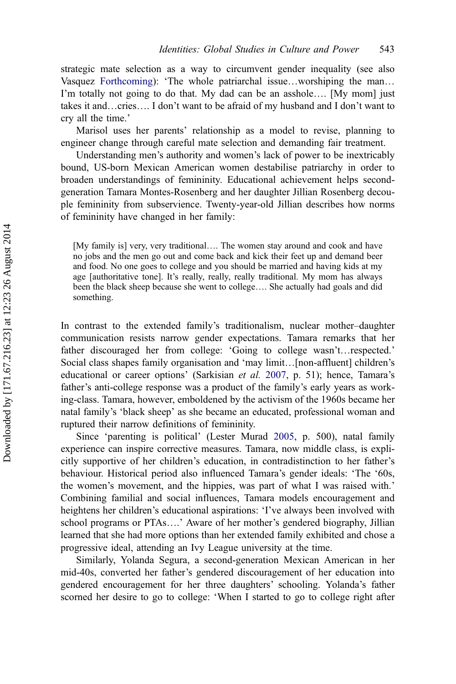strategic mate selection as a way to circumvent gender inequality (see also Vasquez [Forthcoming](#page-20-0)): 'The whole patriarchal issue…worshiping the man… I'm totally not going to do that. My dad can be an asshole…. [My mom] just takes it and…cries…. I don't want to be afraid of my husband and I don't want to cry all the time.'

Marisol uses her parents' relationship as a model to revise, planning to engineer change through careful mate selection and demanding fair treatment.

Understanding men's authority and women's lack of power to be inextricably bound, US-born Mexican American women destabilise patriarchy in order to broaden understandings of femininity. Educational achievement helps secondgeneration Tamara Montes-Rosenberg and her daughter Jillian Rosenberg decouple femininity from subservience. Twenty-year-old Jillian describes how norms of femininity have changed in her family:

[My family is] very, very traditional…. The women stay around and cook and have no jobs and the men go out and come back and kick their feet up and demand beer and food. No one goes to college and you should be married and having kids at my age [authoritative tone]. It's really, really, really traditional. My mom has always been the black sheep because she went to college…. She actually had goals and did something.

In contrast to the extended family's traditionalism, nuclear mother–daughter communication resists narrow gender expectations. Tamara remarks that her father discouraged her from college: 'Going to college wasn't…respected.' Social class shapes family organisation and 'may limit…[non-affluent] children's educational or career options' (Sarkisian *et al.* [2007,](#page-19-0) p. 51); hence, Tamara's father's anti-college response was a product of the family's early years as working-class. Tamara, however, emboldened by the activism of the 1960s became her natal family's 'black sheep' as she became an educated, professional woman and ruptured their narrow definitions of femininity.

Since 'parenting is political' (Lester Murad [2005,](#page-19-0) p. 500), natal family experience can inspire corrective measures. Tamara, now middle class, is explicitly supportive of her children's education, in contradistinction to her father's behaviour. Historical period also influenced Tamara's gender ideals: 'The '60s, the women's movement, and the hippies, was part of what I was raised with.' Combining familial and social influences, Tamara models encouragement and heightens her children's educational aspirations: 'I've always been involved with school programs or PTAs….' Aware of her mother's gendered biography, Jillian learned that she had more options than her extended family exhibited and chose a progressive ideal, attending an Ivy League university at the time.

Similarly, Yolanda Segura, a second-generation Mexican American in her mid-40s, converted her father's gendered discouragement of her education into gendered encouragement for her three daughters' schooling. Yolanda's father scorned her desire to go to college: 'When I started to go to college right after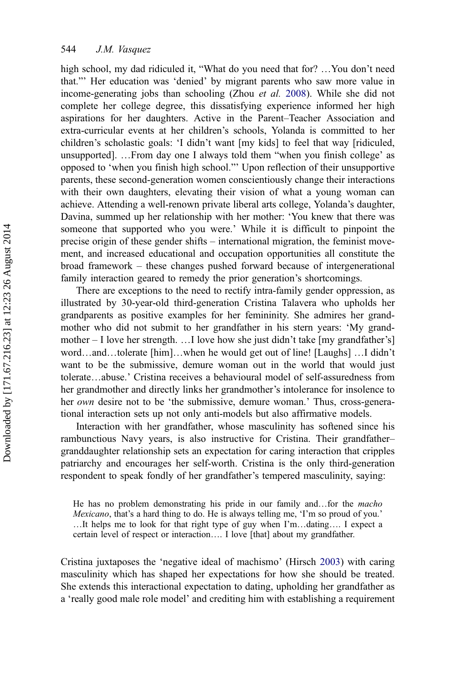high school, my dad ridiculed it, "What do you need that for? ...You don't need that."' Her education was 'denied' by migrant parents who saw more value in income-generating jobs than schooling (Zhou et al. [2008](#page-20-0)). While she did not complete her college degree, this dissatisfying experience informed her high aspirations for her daughters. Active in the Parent–Teacher Association and extra-curricular events at her children's schools, Yolanda is committed to her children's scholastic goals: 'I didn't want [my kids] to feel that way [ridiculed, unsupported]. …From day one I always told them "when you finish college' as opposed to 'when you finish high school."' Upon reflection of their unsupportive parents, these second-generation women conscientiously change their interactions with their own daughters, elevating their vision of what a young woman can achieve. Attending a well-renown private liberal arts college, Yolanda's daughter, Davina, summed up her relationship with her mother: 'You knew that there was someone that supported who you were.' While it is difficult to pinpoint the precise origin of these gender shifts – international migration, the feminist movement, and increased educational and occupation opportunities all constitute the broad framework – these changes pushed forward because of intergenerational family interaction geared to remedy the prior generation's shortcomings.

There are exceptions to the need to rectify intra-family gender oppression, as illustrated by 30-year-old third-generation Cristina Talavera who upholds her grandparents as positive examples for her femininity. She admires her grandmother who did not submit to her grandfather in his stern years: 'My grandmother – I love her strength. …I love how she just didn't take [my grandfather's] word…and…tolerate [him]…when he would get out of line! [Laughs] …I didn't want to be the submissive, demure woman out in the world that would just tolerate…abuse.' Cristina receives a behavioural model of self-assuredness from her grandmother and directly links her grandmother's intolerance for insolence to her own desire not to be 'the submissive, demure woman.' Thus, cross-generational interaction sets up not only anti-models but also affirmative models.

Interaction with her grandfather, whose masculinity has softened since his rambunctious Navy years, is also instructive for Cristina. Their grandfather– granddaughter relationship sets an expectation for caring interaction that cripples patriarchy and encourages her self-worth. Cristina is the only third-generation respondent to speak fondly of her grandfather's tempered masculinity, saying:

He has no problem demonstrating his pride in our family and…for the macho Mexicano, that's a hard thing to do. He is always telling me, 'I'm so proud of you.' …It helps me to look for that right type of guy when I'm…dating…. I expect a certain level of respect or interaction…. I love [that] about my grandfather.

Cristina juxtaposes the 'negative ideal of machismo' (Hirsch [2003\)](#page-19-0) with caring masculinity which has shaped her expectations for how she should be treated. She extends this interactional expectation to dating, upholding her grandfather as a 'really good male role model' and crediting him with establishing a requirement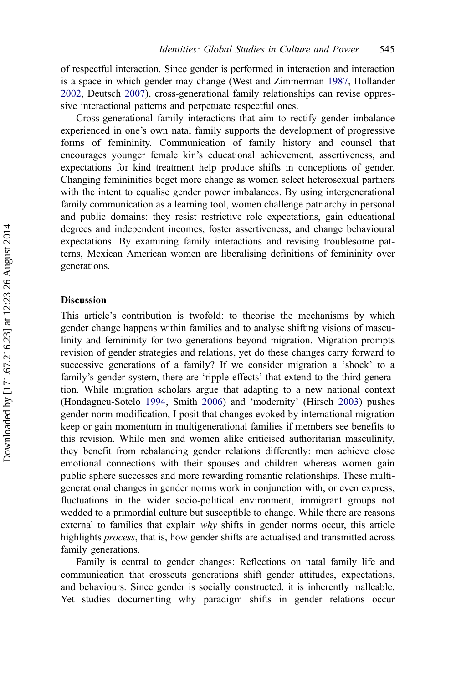of respectful interaction. Since gender is performed in interaction and interaction is a space in which gender may change (West and Zimmerman [1987,](#page-20-0) Hollander [2002,](#page-19-0) Deutsch [2007\)](#page-18-0), cross-generational family relationships can revise oppressive interactional patterns and perpetuate respectful ones.

Cross-generational family interactions that aim to rectify gender imbalance experienced in one's own natal family supports the development of progressive forms of femininity. Communication of family history and counsel that encourages younger female kin's educational achievement, assertiveness, and expectations for kind treatment help produce shifts in conceptions of gender. Changing femininities beget more change as women select heterosexual partners with the intent to equalise gender power imbalances. By using intergenerational family communication as a learning tool, women challenge patriarchy in personal and public domains: they resist restrictive role expectations, gain educational degrees and independent incomes, foster assertiveness, and change behavioural expectations. By examining family interactions and revising troublesome patterns, Mexican American women are liberalising definitions of femininity over generations.

#### **Discussion**

This article's contribution is twofold: to theorise the mechanisms by which gender change happens within families and to analyse shifting visions of masculinity and femininity for two generations beyond migration. Migration prompts revision of gender strategies and relations, yet do these changes carry forward to successive generations of a family? If we consider migration a 'shock' to a family's gender system, there are 'ripple effects' that extend to the third generation. While migration scholars argue that adapting to a new national context (Hondagneu-Sotelo [1994,](#page-19-0) Smith [2006](#page-19-0)) and 'modernity' (Hirsch [2003](#page-19-0)) pushes gender norm modification, I posit that changes evoked by international migration keep or gain momentum in multigenerational families if members see benefits to this revision. While men and women alike criticised authoritarian masculinity, they benefit from rebalancing gender relations differently: men achieve close emotional connections with their spouses and children whereas women gain public sphere successes and more rewarding romantic relationships. These multigenerational changes in gender norms work in conjunction with, or even express, fluctuations in the wider socio-political environment, immigrant groups not wedded to a primordial culture but susceptible to change. While there are reasons external to families that explain  $why$  shifts in gender norms occur, this article highlights process, that is, how gender shifts are actualised and transmitted across family generations.

Family is central to gender changes: Reflections on natal family life and communication that crosscuts generations shift gender attitudes, expectations, and behaviours. Since gender is socially constructed, it is inherently malleable. Yet studies documenting why paradigm shifts in gender relations occur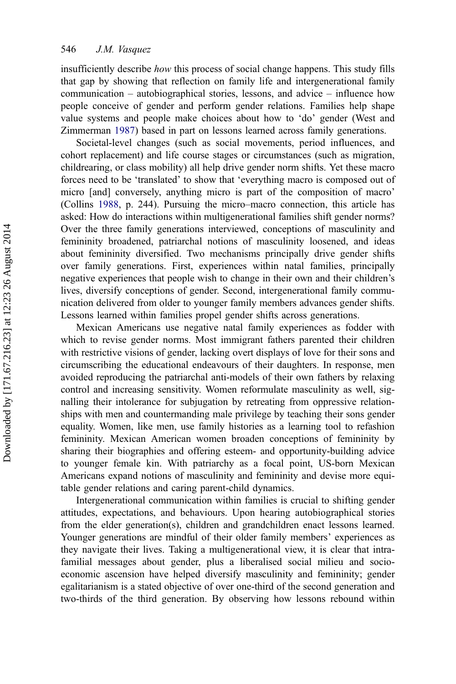insufficiently describe how this process of social change happens. This study fills that gap by showing that reflection on family life and intergenerational family communication – autobiographical stories, lessons, and advice – influence how people conceive of gender and perform gender relations. Families help shape value systems and people make choices about how to 'do' gender (West and Zimmerman [1987\)](#page-20-0) based in part on lessons learned across family generations.

Societal-level changes (such as social movements, period influences, and cohort replacement) and life course stages or circumstances (such as migration, childrearing, or class mobility) all help drive gender norm shifts. Yet these macro forces need to be 'translated' to show that 'everything macro is composed out of micro [and] conversely, anything micro is part of the composition of macro' (Collins [1988](#page-18-0), p. 244). Pursuing the micro–macro connection, this article has asked: How do interactions within multigenerational families shift gender norms? Over the three family generations interviewed, conceptions of masculinity and femininity broadened, patriarchal notions of masculinity loosened, and ideas about femininity diversified. Two mechanisms principally drive gender shifts over family generations. First, experiences within natal families, principally negative experiences that people wish to change in their own and their children's lives, diversify conceptions of gender. Second, intergenerational family communication delivered from older to younger family members advances gender shifts. Lessons learned within families propel gender shifts across generations.

Mexican Americans use negative natal family experiences as fodder with which to revise gender norms. Most immigrant fathers parented their children with restrictive visions of gender, lacking overt displays of love for their sons and circumscribing the educational endeavours of their daughters. In response, men avoided reproducing the patriarchal anti-models of their own fathers by relaxing control and increasing sensitivity. Women reformulate masculinity as well, signalling their intolerance for subjugation by retreating from oppressive relationships with men and countermanding male privilege by teaching their sons gender equality. Women, like men, use family histories as a learning tool to refashion femininity. Mexican American women broaden conceptions of femininity by sharing their biographies and offering esteem- and opportunity-building advice to younger female kin. With patriarchy as a focal point, US-born Mexican Americans expand notions of masculinity and femininity and devise more equitable gender relations and caring parent-child dynamics.

Intergenerational communication within families is crucial to shifting gender attitudes, expectations, and behaviours. Upon hearing autobiographical stories from the elder generation(s), children and grandchildren enact lessons learned. Younger generations are mindful of their older family members' experiences as they navigate their lives. Taking a multigenerational view, it is clear that intrafamilial messages about gender, plus a liberalised social milieu and socioeconomic ascension have helped diversify masculinity and femininity; gender egalitarianism is a stated objective of over one-third of the second generation and two-thirds of the third generation. By observing how lessons rebound within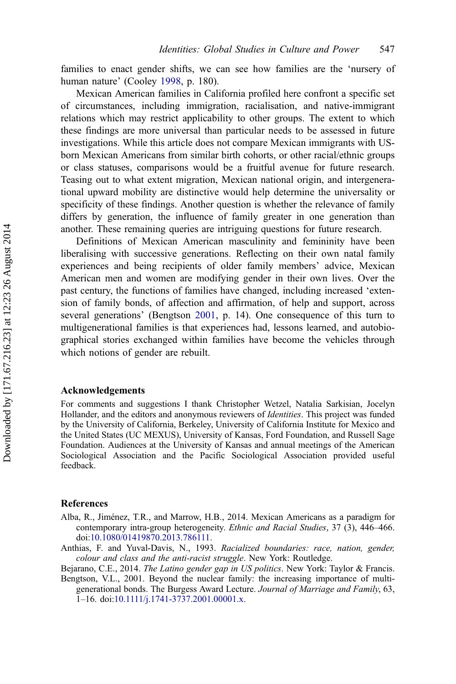<span id="page-17-0"></span>families to enact gender shifts, we can see how families are the 'nursery of human nature' (Cooley [1998,](#page-18-0) p. 180).

Mexican American families in California profiled here confront a specific set of circumstances, including immigration, racialisation, and native-immigrant relations which may restrict applicability to other groups. The extent to which these findings are more universal than particular needs to be assessed in future investigations. While this article does not compare Mexican immigrants with USborn Mexican Americans from similar birth cohorts, or other racial/ethnic groups or class statuses, comparisons would be a fruitful avenue for future research. Teasing out to what extent migration, Mexican national origin, and intergenerational upward mobility are distinctive would help determine the universality or specificity of these findings. Another question is whether the relevance of family differs by generation, the influence of family greater in one generation than another. These remaining queries are intriguing questions for future research.

Definitions of Mexican American masculinity and femininity have been liberalising with successive generations. Reflecting on their own natal family experiences and being recipients of older family members' advice, Mexican American men and women are modifying gender in their own lives. Over the past century, the functions of families have changed, including increased 'extension of family bonds, of affection and affirmation, of help and support, across several generations' (Bengtson 2001, p. 14). One consequence of this turn to multigenerational families is that experiences had, lessons learned, and autobiographical stories exchanged within families have become the vehicles through which notions of gender are rebuilt.

#### Acknowledgements

For comments and suggestions I thank Christopher Wetzel, Natalia Sarkisian, Jocelyn Hollander, and the editors and anonymous reviewers of Identities. This project was funded by the University of California, Berkeley, University of California Institute for Mexico and the United States (UC MEXUS), University of Kansas, Ford Foundation, and Russell Sage Foundation. Audiences at the University of Kansas and annual meetings of the American Sociological Association and the Pacific Sociological Association provided useful feedback.

#### References

- Alba, R., Jiménez, T.R., and Marrow, H.B., 2014. Mexican Americans as a paradigm for contemporary intra-group heterogeneity. Ethnic and Racial Studies, 37 (3), 446–466. doi:[10.1080/01419870.2013.786111.](http://dx.doi.org/10.1080%2F01419870.2013.786111)
- Anthias, F. and Yuval-Davis, N., 1993. Racialized boundaries: race, nation, gender, colour and class and the anti-racist struggle. New York: Routledge.

Bejarano, C.E., 2014. The Latino gender gap in US politics. New York: Taylor & Francis. Bengtson, V.L., 2001. Beyond the nuclear family: the increasing importance of multi-

generational bonds. The Burgess Award Lecture. Journal of Marriage and Family, 63, 1–16. doi:[10.1111/j.1741-3737.2001.00001.x.](http://dx.doi.org/10.1111%2Fj.1741-3737.2001.00001.x)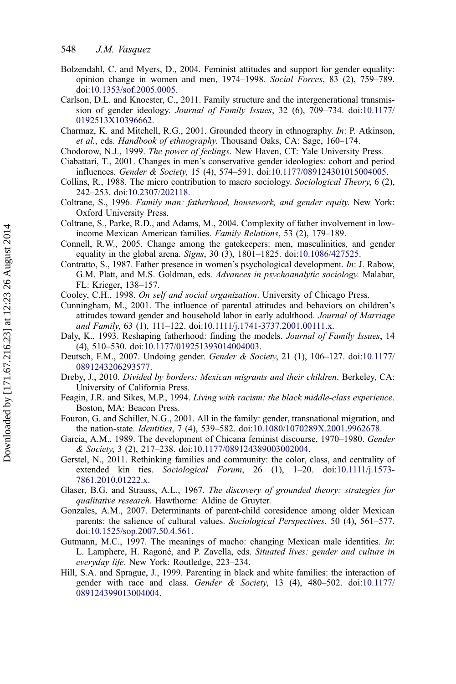- <span id="page-18-0"></span>Bolzendahl, C. and Myers, D., 2004. Feminist attitudes and support for gender equality: opinion change in women and men, 1974–1998. Social Forces, 83 (2), 759–789. doi:[10.1353/sof.2005.0005](http://dx.doi.org/10.1353%2Fsof.2005.0005).
- Carlson, D.L. and Knoester, C., 2011. Family structure and the intergenerational transmission of gender ideology. Journal of Family Issues, 32 (6), 709–734. doi:[10.1177/](http://dx.doi.org/10.1177%2F0192513X10396662) [0192513X10396662.](http://dx.doi.org/10.1177%2F0192513X10396662)
- Charmaz, K. and Mitchell, R.G., 2001. Grounded theory in ethnography. In: P. Atkinson, et al., eds. Handbook of ethnography. Thousand Oaks, CA: Sage, 160–174.
- Chodorow, N.J., 1999. The power of feelings. New Haven, CT: Yale University Press.
- Ciabattari, T., 2001. Changes in men's conservative gender ideologies: cohort and period influences. Gender & Society, 15 (4), 574–591. doi[:10.1177/089124301015004005](http://dx.doi.org/10.1177%2F089124301015004005).
- Collins, R., 1988. The micro contribution to macro sociology. Sociological Theory, 6 (2), 242–253. doi[:10.2307/202118](http://dx.doi.org/10.2307%2F202118).
- Coltrane, S., 1996. Family man: fatherhood, housework, and gender equity. New York: Oxford University Press.
- Coltrane, S., Parke, R.D., and Adams, M., 2004. Complexity of father involvement in lowincome Mexican American families. Family Relations, 53 (2), 179–189.
- Connell, R.W., 2005. Change among the gatekeepers: men, masculinities, and gender equality in the global arena. Signs, 30 (3), 1801–1825. doi:[10.1086/427525](http://dx.doi.org/10.1086%2F427525).
- Contratto, S., 1987. Father presence in women's psychological development. In: J. Rabow, G.M. Platt, and M.S. Goldman, eds. Advances in psychoanalytic sociology. Malabar, FL: Krieger, 138–157.
- Cooley, C.H., 1998. On self and social organization. University of Chicago Press.
- Cunningham, M., 2001. The influence of parental attitudes and behaviors on children's attitudes toward gender and household labor in early adulthood. Journal of Marriage and Family, 63 (1), 111–122. doi[:10.1111/j.1741-3737.2001.00111.x](http://dx.doi.org/10.1111%2Fj.1741-3737.2001.00111.x).
- Daly, K., 1993. Reshaping fatherhood: finding the models. Journal of Family Issues, 14 (4), 510–530. doi:[10.1177/019251393014004003.](http://dx.doi.org/10.1177%2F019251393014004003)
- Deutsch, F.M., 2007. Undoing gender. Gender & Society, 21 (1), 106–127. doi:[10.1177/](http://dx.doi.org/10.1177%2F0891243206293577) [0891243206293577.](http://dx.doi.org/10.1177%2F0891243206293577)
- Dreby, J., 2010. Divided by borders: Mexican migrants and their children. Berkeley, CA: University of California Press.
- Feagin, J.R. and Sikes, M.P., 1994. Living with racism: the black middle-class experience. Boston, MA: Beacon Press.
- Fouron, G. and Schiller, N.G., 2001. All in the family: gender, transnational migration, and the nation-state. Identities, 7 (4), 539–582. doi:[10.1080/1070289X.2001.9962678.](http://dx.doi.org/10.1080%2F1070289X.2001.9962678)
- Garcia, A.M., 1989. The development of Chicana feminist discourse, 1970–1980. Gender & Society, 3 (2), 217–238. doi[:10.1177/089124389003002004](http://dx.doi.org/10.1177%2F089124389003002004).
- Gerstel, N., 2011. Rethinking families and community: the color, class, and centrality of extended kin ties. Sociological Forum, 26 (1), 1–20. doi:[10.1111/j.1573-](http://dx.doi.org/10.1111%2Fj.1573-7861.2010.01222.x) [7861.2010.01222.x](http://dx.doi.org/10.1111%2Fj.1573-7861.2010.01222.x).
- Glaser, B.G. and Strauss, A.L., 1967. The discovery of grounded theory: strategies for qualitative research. Hawthorne: Aldine de Gruyter.
- Gonzales, A.M., 2007. Determinants of parent-child coresidence among older Mexican parents: the salience of cultural values. Sociological Perspectives, 50 (4), 561–577. doi:[10.1525/sop.2007.50.4.561](http://dx.doi.org/10.1525%2Fsop.2007.50.4.561).
- Gutmann, M.C., 1997. The meanings of macho: changing Mexican male identities. In: L. Lamphere, H. Ragoné, and P. Zavella, eds. Situated lives: gender and culture in everyday life. New York: Routledge, 223–234.
- Hill, S.A. and Sprague, J., 1999. Parenting in black and white families: the interaction of gender with race and class. Gender & Society, 13  $(4)$ , 480–502. doi:[10.1177/](http://dx.doi.org/10.1177%2F089124399013004004) [089124399013004004.](http://dx.doi.org/10.1177%2F089124399013004004)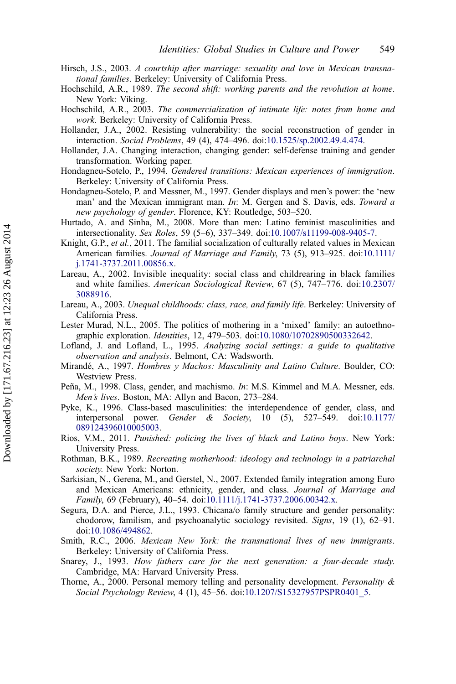- <span id="page-19-0"></span>Hirsch, J.S., 2003. A courtship after marriage: sexuality and love in Mexican transnational families. Berkeley: University of California Press.
- Hochschild, A.R., 1989. The second shift: working parents and the revolution at home. New York: Viking.
- Hochschild, A.R., 2003. The commercialization of intimate life: notes from home and work. Berkeley: University of California Press.
- Hollander, J.A., 2002. Resisting vulnerability: the social reconstruction of gender in interaction. Social Problems, 49 (4), 474–496. doi:[10.1525/sp.2002.49.4.474](http://dx.doi.org/10.1525%2Fsp.2002.49.4.474).
- Hollander, J.A. Changing interaction, changing gender: self-defense training and gender transformation. Working paper.
- Hondagneu-Sotelo, P., 1994. Gendered transitions: Mexican experiences of immigration. Berkeley: University of California Press.
- Hondagneu-Sotelo, P. and Messner, M., 1997. Gender displays and men's power: the 'new man' and the Mexican immigrant man. In: M. Gergen and S. Davis, eds. Toward a new psychology of gender. Florence, KY: Routledge, 503–520.
- Hurtado, A. and Sinha, M., 2008. More than men: Latino feminist masculinities and intersectionality. Sex Roles, 59 (5–6), 337–349. doi[:10.1007/s11199-008-9405-7.](http://dx.doi.org/10.1007%2Fs11199-008-9405-7)
- Knight, G.P., et al., 2011. The familial socialization of culturally related values in Mexican American families. Journal of Marriage and Family, 73 (5), 913-925. doi:[10.1111/](http://dx.doi.org/10.1111%2Fj.1741-3737.2011.00856.x) [j.1741-3737.2011.00856.x.](http://dx.doi.org/10.1111%2Fj.1741-3737.2011.00856.x)
- Lareau, A., 2002. Invisible inequality: social class and childrearing in black families and white families. American Sociological Review, 67 (5), 747–776. doi:[10.2307/](http://dx.doi.org/10.2307%2F3088916) [3088916](http://dx.doi.org/10.2307%2F3088916).
- Lareau, A., 2003. Unequal childhoods: class, race, and family life. Berkeley: University of California Press.
- Lester Murad, N.L., 2005. The politics of mothering in a 'mixed' family: an autoethnographic exploration. Identities, 12, 479–503. doi:[10.1080/10702890500332642](http://dx.doi.org/10.1080%2F10702890500332642).
- Lofland, J. and Lofland, L., 1995. Analyzing social settings: a guide to qualitative observation and analysis. Belmont, CA: Wadsworth.
- Mirandé, A., 1997. Hombres y Machos: Masculinity and Latino Culture. Boulder, CO: Westview Press.
- Peña, M., 1998. Class, gender, and machismo. In: M.S. Kimmel and M.A. Messner, eds. Men's lives. Boston, MA: Allyn and Bacon, 273–284.
- Pyke, K., 1996. Class-based masculinities: the interdependence of gender, class, and interpersonal power. Gender & Society, 10 (5), 527–549. doi:[10.1177/](http://dx.doi.org/10.1177%2F089124396010005003) [089124396010005003.](http://dx.doi.org/10.1177%2F089124396010005003)
- Rios, V.M., 2011. Punished: policing the lives of black and Latino boys. New York: University Press.
- Rothman, B.K., 1989. Recreating motherhood: ideology and technology in a patriarchal society. New York: Norton.
- Sarkisian, N., Gerena, M., and Gerstel, N., 2007. Extended family integration among Euro and Mexican Americans: ethnicity, gender, and class. Journal of Marriage and Family, 69 (February), 40–54. doi[:10.1111/j.1741-3737.2006.00342.x.](http://dx.doi.org/10.1111%2Fj.1741-3737.2006.00342.x)
- Segura, D.A. and Pierce, J.L., 1993. Chicana/o family structure and gender personality: chodorow, familism, and psychoanalytic sociology revisited. Signs, 19 (1), 62–91. doi:[10.1086/494862](http://dx.doi.org/10.1086%2F494862).
- Smith, R.C., 2006. Mexican New York: the transnational lives of new immigrants. Berkeley: University of California Press.
- Snarey, J., 1993. How fathers care for the next generation: a four-decade study. Cambridge, MA: Harvard University Press.
- Thorne, A., 2000. Personal memory telling and personality development. Personality  $\&$ Social Psychology Review, 4 (1), 45–56. doi:[10.1207/S15327957PSPR0401\\_5.](http://dx.doi.org/10.1207%2FS15327957PSPR0401_5)